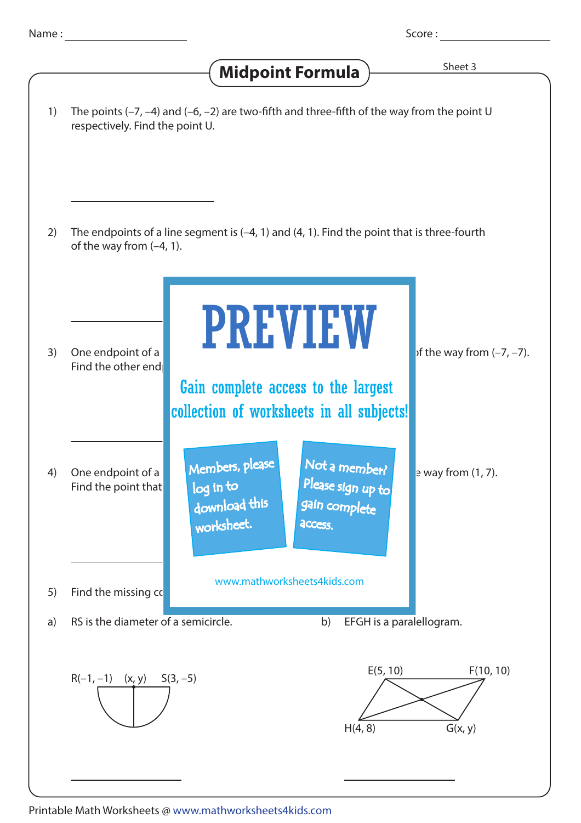